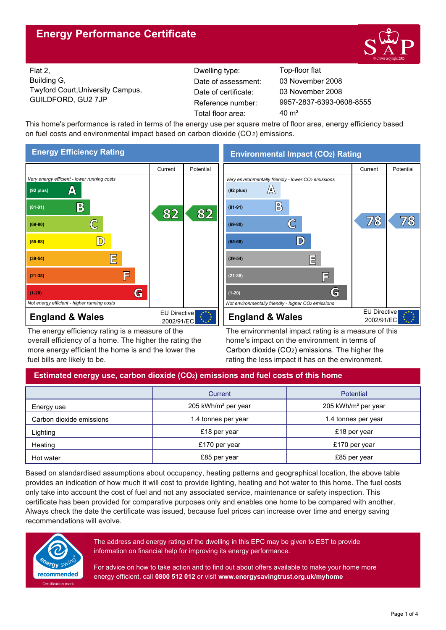# **Energy Performance Certificate**



Flat 2, Building G, Twyford Court,University Campus, GUILDFORD, GU2 7JP Reference number:

Dwelling type: Top-floor flat Date of certificate: Total floor area: 40 m<sup>2</sup> Date of assessment:

9957-2837-6393-0608-8555 03 November 2008 03 November 2008

This home's performance is rated in terms of the energy use per square metre of floor area, energy efficiency based on fuel costs and environmental impact based on carbon dioxide (CO2) emissions.



The energy efficiency rating is a measure of the overall efficiency of a home. The higher the rating the more energy efficient the home is and the lower the fuel bills are likely to be.

# **Environmental Impact (CO2) Rating**



The environmental impact rating is a measure of this home's impact on the environment in terms of Carbon dioxide (CO2) emissions. The higher the rating the less impact it has on the environment.

# **Estimated energy use, carbon dioxide (CO2) emissions and fuel costs of this home**

|                          | Current                         | Potential                       |  |
|--------------------------|---------------------------------|---------------------------------|--|
| Energy use               | 205 kWh/m <sup>2</sup> per year | 205 kWh/m <sup>2</sup> per year |  |
| Carbon dioxide emissions | 1.4 tonnes per year             | 1.4 tonnes per year             |  |
| Lighting                 | £18 per year                    | £18 per year                    |  |
| Heating                  | £170 per year                   | £170 per year                   |  |
| Hot water                | £85 per year                    | £85 per year                    |  |

Based on standardised assumptions about occupancy, heating patterns and geographical location, the above table provides an indication of how much it will cost to provide lighting, heating and hot water to this home. The fuel costs only take into account the cost of fuel and not any associated service, maintenance or safety inspection. This certificate has been provided for comparative purposes only and enables one home to be compared with another. Always check the date the certificate was issued, because fuel prices can increase over time and energy saving recommendations will evolve.



The address and energy rating of the dwelling in this EPC may be given to EST to provide information on financial help for improving its energy performance.

For advice on how to take action and to find out about offers available to make your home more energy efficient, call **0800 512 012** or visit **www.energysavingtrust.org.uk/myhome**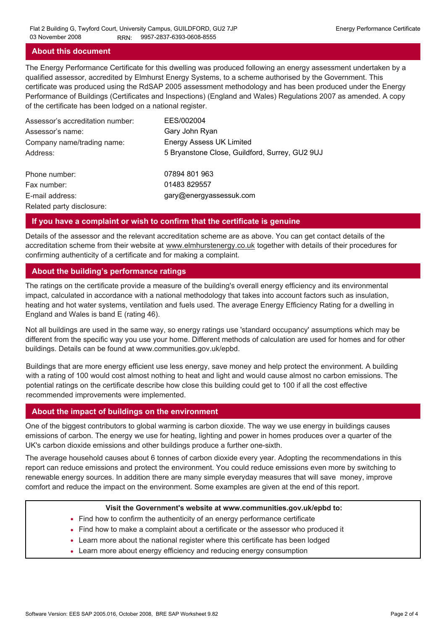### **About this document**

The Energy Performance Certificate for this dwelling was produced following an energy assessment undertaken by a qualified assessor, accredited by Elmhurst Energy Systems, to a scheme authorised by the Government. This certificate was produced using the RdSAP 2005 assessment methodology and has been produced under the Energy Performance of Buildings (Certificates and Inspections) (England and Wales) Regulations 2007 as amended. A copy of the certificate has been lodged on a national register.

| Assessor's accreditation number: | EES/002004                                     |
|----------------------------------|------------------------------------------------|
| Assessor's name:                 | Gary John Ryan                                 |
| Company name/trading name:       | <b>Energy Assess UK Limited</b>                |
| Address:                         | 5 Bryanstone Close, Guildford, Surrey, GU2 9UJ |
| Phone number:                    | 07894 801 963                                  |
| Fax number:                      | 01483 829557                                   |
| E-mail address:                  | gary@energyassessuk.com                        |
| Related party disclosure:        |                                                |

### **If you have a complaint or wish to confirm that the certificate is genuine**

Details of the assessor and the relevant accreditation scheme are as above. You can get contact details of the accreditation scheme from their website at www.elmhurstenergy.co.uk together with details of their procedures for confirming authenticity of a certificate and for making a complaint.

## **About the building's performance ratings**

The ratings on the certificate provide a measure of the building's overall energy efficiency and its environmental impact, calculated in accordance with a national methodology that takes into account factors such as insulation, heating and hot water systems, ventilation and fuels used. The average Energy Efficiency Rating for a dwelling in England and Wales is band E (rating 46).

Not all buildings are used in the same way, so energy ratings use 'standard occupancy' assumptions which may be different from the specific way you use your home. Different methods of calculation are used for homes and for other buildings. Details can be found at www.communities.gov.uk/epbd.

Buildings that are more energy efficient use less energy, save money and help protect the environment. A building with a rating of 100 would cost almost nothing to heat and light and would cause almost no carbon emissions. The potential ratings on the certificate describe how close this building could get to 100 if all the cost effective recommended improvements were implemented.

## **About the impact of buildings on the environment**

One of the biggest contributors to global warming is carbon dioxide. The way we use energy in buildings causes emissions of carbon. The energy we use for heating, lighting and power in homes produces over a quarter of the UK's carbon dioxide emissions and other buildings produce a further one-sixth.

The average household causes about 6 tonnes of carbon dioxide every year. Adopting the recommendations in this report can reduce emissions and protect the environment. You could reduce emissions even more by switching to renewable energy sources. In addition there are many simple everyday measures that will save money, improve comfort and reduce the impact on the environment. Some examples are given at the end of this report.

#### **Visit the Government's website at www.communities.gov.uk/epbd to:**

- Find how to confirm the authenticity of an energy performance certificate
- Find how to make a complaint about a certificate or the assessor who produced it •
- Learn more about the national register where this certificate has been lodged •
- Learn more about energy efficiency and reducing energy consumption •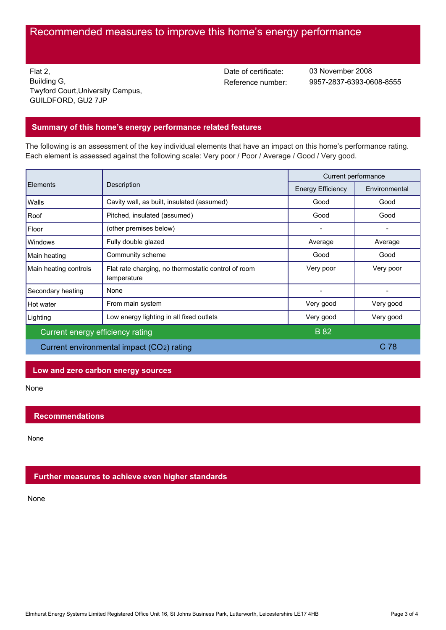# Recommended measures to improve this home's energy performance

Flat 2, Building G, Twyford Court,University Campus, GUILDFORD, GU2 7JP

Date of certificate:

Reference number: 9957-2837-6393-0608-8555 03 November 2008

## **Summary of this home's energy performance related features**

The following is an assessment of the key individual elements that have an impact on this home's performance rating. Each element is assessed against the following scale: Very poor / Poor / Average / Good / Very good.

| Elements                                  | Description                                                        | Current performance      |                 |
|-------------------------------------------|--------------------------------------------------------------------|--------------------------|-----------------|
|                                           |                                                                    | <b>Energy Efficiency</b> | Environmental   |
| Walls                                     | Cavity wall, as built, insulated (assumed)                         | Good                     | Good            |
| Roof                                      | Pitched, insulated (assumed)                                       | Good                     | Good            |
| Floor                                     | (other premises below)                                             |                          |                 |
| Windows                                   | Fully double glazed                                                | Average                  | Average         |
| Main heating                              | Community scheme                                                   | Good                     | Good            |
| Main heating controls                     | Flat rate charging, no thermostatic control of room<br>temperature | Very poor                | Very poor       |
| Secondary heating                         | None                                                               |                          |                 |
| Hot water                                 | From main system                                                   | Very good                | Very good       |
| Lighting                                  | Low energy lighting in all fixed outlets                           | Very good                | Very good       |
| Current energy efficiency rating          |                                                                    | <b>B</b> 82              |                 |
| Current environmental impact (CO2) rating |                                                                    |                          | C <sub>78</sub> |

### **Low and zero carbon energy sources**

None

## **Recommendations**

None

## **Further measures to achieve even higher standards**

None